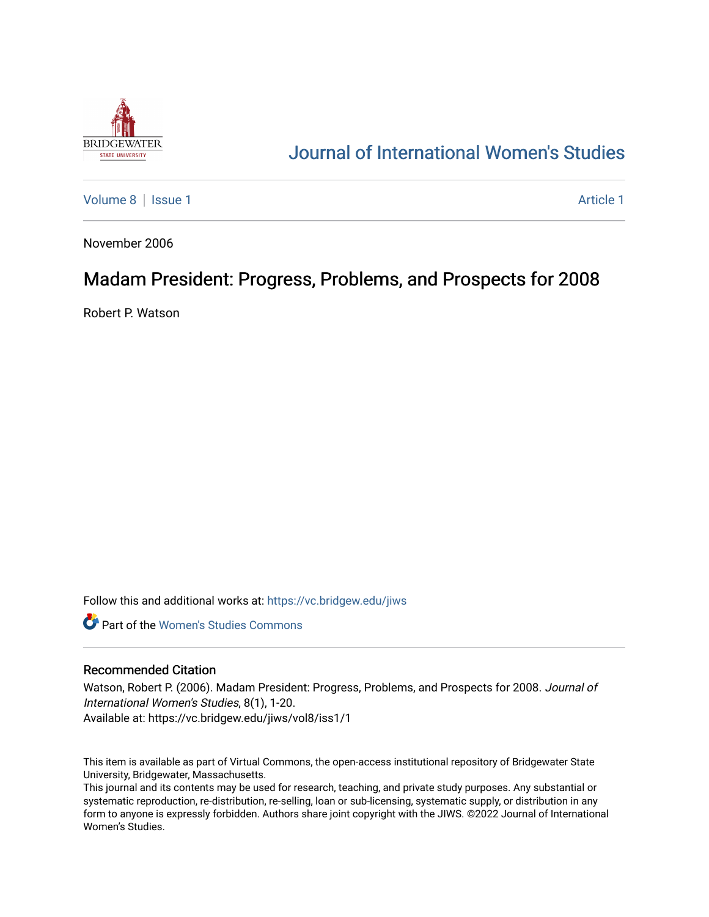

# [Journal of International Women's Studies](https://vc.bridgew.edu/jiws)

[Volume 8](https://vc.bridgew.edu/jiws/vol8) | [Issue 1](https://vc.bridgew.edu/jiws/vol8/iss1) Article 1

November 2006

# Madam President: Progress, Problems, and Prospects for 2008

Robert P. Watson

Follow this and additional works at: [https://vc.bridgew.edu/jiws](https://vc.bridgew.edu/jiws?utm_source=vc.bridgew.edu%2Fjiws%2Fvol8%2Fiss1%2F1&utm_medium=PDF&utm_campaign=PDFCoverPages)

**C** Part of the Women's Studies Commons

#### Recommended Citation

Watson, Robert P. (2006). Madam President: Progress, Problems, and Prospects for 2008. Journal of International Women's Studies, 8(1), 1-20. Available at: https://vc.bridgew.edu/jiws/vol8/iss1/1

This item is available as part of Virtual Commons, the open-access institutional repository of Bridgewater State University, Bridgewater, Massachusetts.

This journal and its contents may be used for research, teaching, and private study purposes. Any substantial or systematic reproduction, re-distribution, re-selling, loan or sub-licensing, systematic supply, or distribution in any form to anyone is expressly forbidden. Authors share joint copyright with the JIWS. ©2022 Journal of International Women's Studies.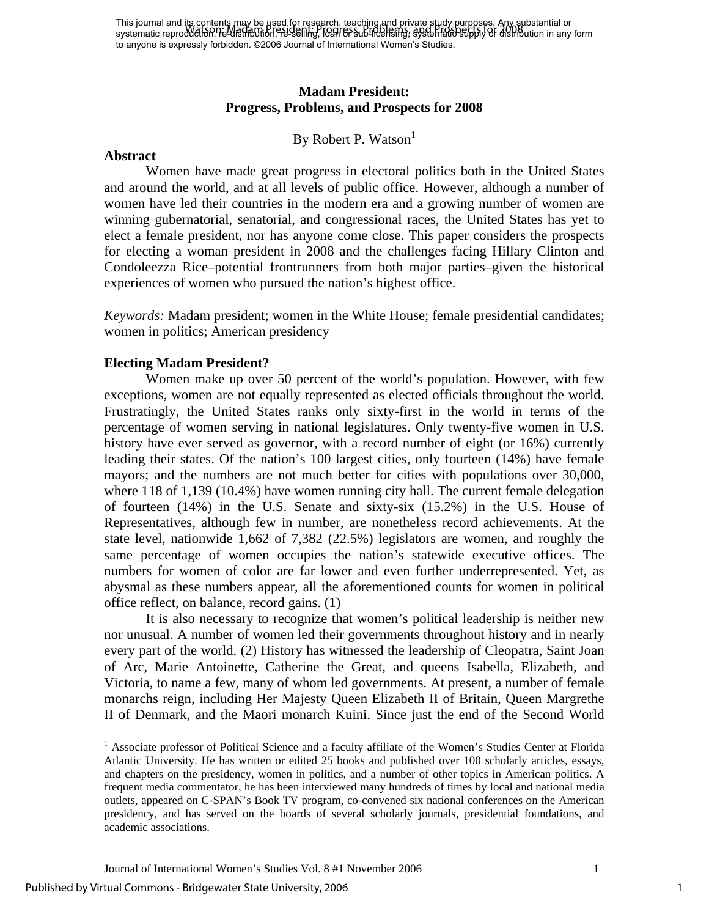This journal and its contents may be used for research, teaching and private study purposes. Any substantial or This journal and the concent Madam Breed of the Baron, leading part of the spectrum or supply of distribution in any form systematic reproduction, the distribution in any form in any form in any form in any form in any for to anyone is expressly forbidden. ©2006 Journal of International Women's Studies.

## **Madam President: Progress, Problems, and Prospects for 2008**

### By Robert P. Watson<sup>1</sup>

#### **Abstract**

Women have made great progress in electoral politics both in the United States and around the world, and at all levels of public office. However, although a number of women have led their countries in the modern era and a growing number of women are winning gubernatorial, senatorial, and congressional races, the United States has yet to elect a female president, nor has anyone come close. This paper considers the prospects for electing a woman president in 2008 and the challenges facing Hillary Clinton and Condoleezza Rice–potential frontrunners from both major parties–given the historical experiences of women who pursued the nation's highest office.

*Keywords:* Madam president; women in the White House; female presidential candidates; women in politics; American presidency

#### **Electing Madam President?**

Women make up over 50 percent of the world's population. However, with few exceptions, women are not equally represented as elected officials throughout the world. Frustratingly, the United States ranks only sixty-first in the world in terms of the percentage of women serving in national legislatures. Only twenty-five women in U.S. history have ever served as governor, with a record number of eight (or 16%) currently leading their states. Of the nation's 100 largest cities, only fourteen (14%) have female mayors; and the numbers are not much better for cities with populations over 30,000, where 118 of 1,139 (10.4%) have women running city hall. The current female delegation of fourteen (14%) in the U.S. Senate and sixty-six (15.2%) in the U.S. House of Representatives, although few in number, are nonetheless record achievements. At the state level, nationwide 1,662 of 7,382 (22.5%) legislators are women, and roughly the same percentage of women occupies the nation's statewide executive offices. The numbers for women of color are far lower and even further underrepresented. Yet, as abysmal as these numbers appear, all the aforementioned counts for women in political office reflect, on balance, record gains. (1)

It is also necessary to recognize that women's political leadership is neither new nor unusual. A number of women led their governments throughout history and in nearly every part of the world. (2) History has witnessed the leadership of Cleopatra, Saint Joan of Arc, Marie Antoinette, Catherine the Great, and queens Isabella, Elizabeth, and Victoria, to name a few, many of whom led governments. At present, a number of female monarchs reign, including Her Majesty Queen Elizabeth II of Britain, Queen Margrethe II of Denmark, and the Maori monarch Kuini. Since just the end of the Second World

 $\overline{a}$ 

<span id="page-1-0"></span><sup>&</sup>lt;sup>1</sup> Associate professor of Political Science and a faculty affiliate of the Women's Studies Center at Florida Atlantic University. He has written or edited 25 books and published over 100 scholarly articles, essays, and chapters on the presidency, women in politics, and a number of other topics in American politics. A frequent media commentator, he has been interviewed many hundreds of times by local and national media outlets, appeared on C-SPAN's Book TV program, co-convened six national conferences on the American presidency, and has served on the boards of several scholarly journals, presidential foundations, and academic associations.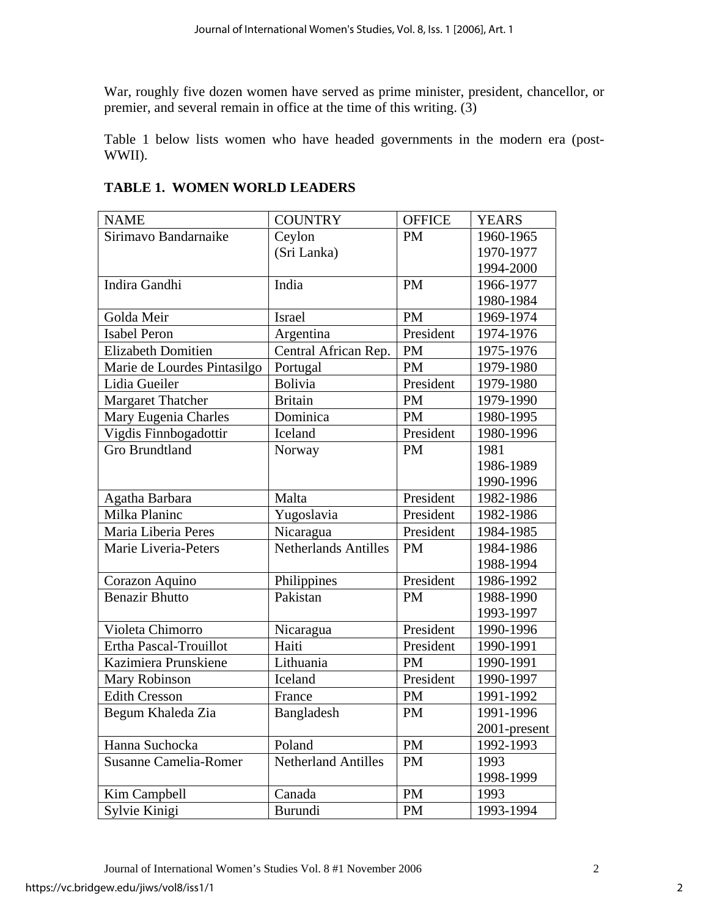War, roughly five dozen women have served as prime minister, president, chancellor, or premier, and several remain in office at the time of this writing. (3)

Table 1 below lists women who have headed governments in the modern era (post-WWII).

| <b>NAME</b>                  | <b>COUNTRY</b>       | <b>OFFICE</b> | <b>YEARS</b> |
|------------------------------|----------------------|---------------|--------------|
| Sirimavo Bandarnaike         | Ceylon               | <b>PM</b>     | 1960-1965    |
|                              | (Sri Lanka)          |               | 1970-1977    |
|                              |                      |               | 1994-2000    |
| Indira Gandhi                | India                | <b>PM</b>     | 1966-1977    |
|                              |                      |               | 1980-1984    |
| Golda Meir                   | <b>Israel</b>        | <b>PM</b>     | 1969-1974    |
| <b>Isabel Peron</b>          | Argentina            | President     | 1974-1976    |
| <b>Elizabeth Domitien</b>    | Central African Rep. | PM            | 1975-1976    |
| Marie de Lourdes Pintasilgo  | Portugal             | <b>PM</b>     | 1979-1980    |
| Lidia Gueiler                | <b>Bolivia</b>       | President     | 1979-1980    |
| <b>Margaret Thatcher</b>     | <b>Britain</b>       | PM            | 1979-1990    |
| Mary Eugenia Charles         | Dominica             | <b>PM</b>     | 1980-1995    |
| Vigdis Finnbogadottir        | Iceland              | President     | 1980-1996    |
| <b>Gro Brundtland</b>        | Norway               | PM            | 1981         |
|                              |                      |               | 1986-1989    |
|                              |                      |               | 1990-1996    |
| Agatha Barbara               | Malta                | President     | 1982-1986    |
| Milka Planinc                | Yugoslavia           | President     | 1982-1986    |
| Maria Liberia Peres          | Nicaragua            | President     | 1984-1985    |
| Marie Liveria-Peters         | Netherlands Antilles | <b>PM</b>     | 1984-1986    |
|                              |                      |               | 1988-1994    |
| Corazon Aquino               | Philippines          | President     | 1986-1992    |
| <b>Benazir Bhutto</b>        | Pakistan             | <b>PM</b>     | 1988-1990    |
|                              |                      |               | 1993-1997    |
| Violeta Chimorro             | Nicaragua            | President     | 1990-1996    |
| Ertha Pascal-Trouillot       | Haiti                | President     | 1990-1991    |
| Kazimiera Prunskiene         | Lithuania            | <b>PM</b>     | 1990-1991    |
| Mary Robinson                | Iceland              | President     | 1990-1997    |
| <b>Edith Cresson</b>         | France               | <b>PM</b>     | 1991-1992    |
| Begum Khaleda Zia            | Bangladesh           | <b>PM</b>     | 1991-1996    |
|                              |                      |               | 2001-present |
| Hanna Suchocka               | Poland               | <b>PM</b>     | 1992-1993    |
| <b>Susanne Camelia-Romer</b> | Netherland Antilles  | <b>PM</b>     | 1993         |
|                              |                      |               | 1998-1999    |
| Kim Campbell                 | Canada               | PM            | 1993         |
| Sylvie Kinigi                | Burundi              | <b>PM</b>     | 1993-1994    |

## **TABLE 1. WOMEN WORLD LEADERS**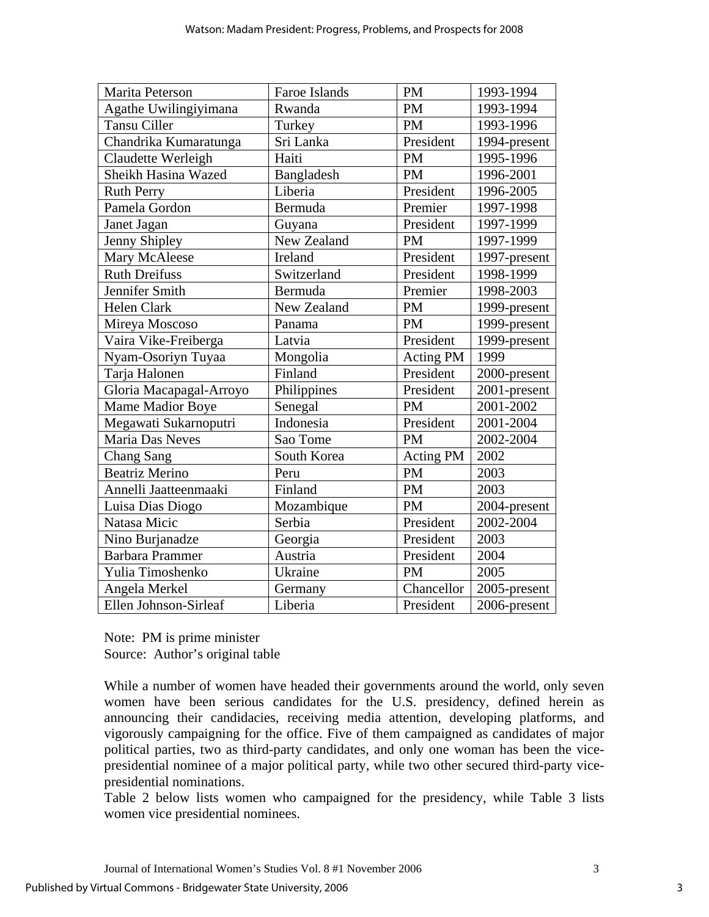| Marita Peterson         | Faroe Islands | <b>PM</b>        | 1993-1994    |
|-------------------------|---------------|------------------|--------------|
| Agathe Uwilingiyimana   | Rwanda        | <b>PM</b>        | 1993-1994    |
| <b>Tansu Ciller</b>     | Turkey        | <b>PM</b>        | 1993-1996    |
| Chandrika Kumaratunga   | Sri Lanka     | President        | 1994-present |
| Claudette Werleigh      | Haiti         | <b>PM</b>        | 1995-1996    |
| Sheikh Hasina Wazed     | Bangladesh    | <b>PM</b>        | 1996-2001    |
| <b>Ruth Perry</b>       | Liberia       | President        | 1996-2005    |
| Pamela Gordon           | Bermuda       | Premier          | 1997-1998    |
| Janet Jagan             | Guyana        | President        | 1997-1999    |
| Jenny Shipley           | New Zealand   | <b>PM</b>        | 1997-1999    |
| Mary McAleese           | Ireland       | President        | 1997-present |
| <b>Ruth Dreifuss</b>    | Switzerland   | President        | 1998-1999    |
| Jennifer Smith          | Bermuda       | Premier          | 1998-2003    |
| Helen Clark             | New Zealand   | <b>PM</b>        | 1999-present |
| Mireya Moscoso          | Panama        | <b>PM</b>        | 1999-present |
| Vaira Vike-Freiberga    | Latvia        | President        | 1999-present |
| Nyam-Osoriyn Tuyaa      | Mongolia      | Acting PM        | 1999         |
| Tarja Halonen           | Finland       | President        | 2000-present |
| Gloria Macapagal-Arroyo | Philippines   | President        | 2001-present |
| Mame Madior Boye        | Senegal       | <b>PM</b>        | 2001-2002    |
| Megawati Sukarnoputri   | Indonesia     | President        | 2001-2004    |
| Maria Das Neves         | Sao Tome      | <b>PM</b>        | 2002-2004    |
| <b>Chang Sang</b>       | South Korea   | <b>Acting PM</b> | 2002         |
| <b>Beatriz Merino</b>   | Peru          | <b>PM</b>        | 2003         |
| Annelli Jaatteenmaaki   | Finland       | PM               | 2003         |
| Luisa Dias Diogo        | Mozambique    | <b>PM</b>        | 2004-present |
| Natasa Micic            | Serbia        | President        | 2002-2004    |
| Nino Burjanadze         | Georgia       | President        | 2003         |
| <b>Barbara Prammer</b>  | Austria       | President        | 2004         |
| Yulia Timoshenko        | Ukraine       | <b>PM</b>        | 2005         |
| Angela Merkel           | Germany       | Chancellor       | 2005-present |
| Ellen Johnson-Sirleaf   | Liberia       | President        | 2006-present |

Note: PM is prime minister Source: Author's original table

While a number of women have headed their governments around the world, only seven women have been serious candidates for the U.S. presidency, defined herein as announcing their candidacies, receiving media attention, developing platforms, and vigorously campaigning for the office. Five of them campaigned as candidates of major political parties, two as third-party candidates, and only one woman has been the vicepresidential nominee of a major political party, while two other secured third-party vicepresidential nominations.

Table 2 below lists women who campaigned for the presidency, while Table 3 lists women vice presidential nominees.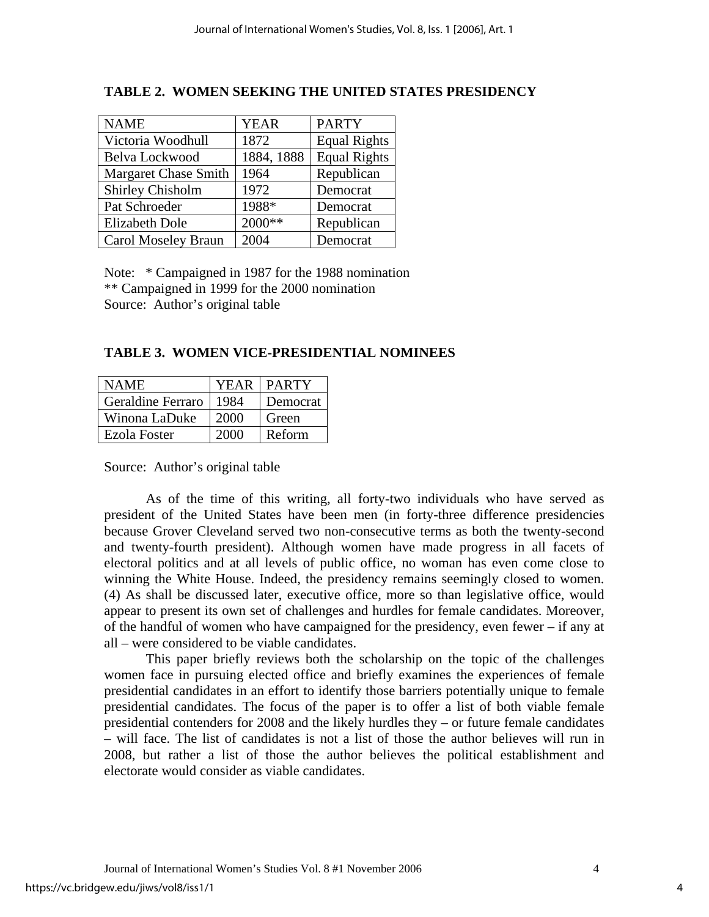| <b>NAME</b>                 | <b>YEAR</b> | <b>PARTY</b>        |
|-----------------------------|-------------|---------------------|
| Victoria Woodhull           | 1872        | <b>Equal Rights</b> |
| Belva Lockwood              | 1884, 1888  | <b>Equal Rights</b> |
| <b>Margaret Chase Smith</b> | 1964        | Republican          |
| <b>Shirley Chisholm</b>     | 1972        | Democrat            |
| Pat Schroeder               | 1988*       | Democrat            |
| <b>Elizabeth Dole</b>       | 2000**      | Republican          |
| Carol Moseley Braun         | 2004        | Democrat            |

## **TABLE 2. WOMEN SEEKING THE UNITED STATES PRESIDENCY**

Note: \* Campaigned in 1987 for the 1988 nomination \*\* Campaigned in 1999 for the 2000 nomination Source: Author's original table

### **TABLE 3. WOMEN VICE-PRESIDENTIAL NOMINEES**

| <b>NAME</b>              |      | <b>YEAR   PARTY</b> |
|--------------------------|------|---------------------|
| <b>Geraldine Ferraro</b> | 1984 | Democrat            |
| Winona LaDuke            | 2000 | Green               |
| Ezola Foster             | 2000 | Reform              |

Source: Author's original table

As of the time of this writing, all forty-two individuals who have served as president of the United States have been men (in forty-three difference presidencies because Grover Cleveland served two non-consecutive terms as both the twenty-second and twenty-fourth president). Although women have made progress in all facets of electoral politics and at all levels of public office, no woman has even come close to winning the White House. Indeed, the presidency remains seemingly closed to women. (4) As shall be discussed later, executive office, more so than legislative office, would appear to present its own set of challenges and hurdles for female candidates. Moreover, of the handful of women who have campaigned for the presidency, even fewer – if any at all – were considered to be viable candidates.

This paper briefly reviews both the scholarship on the topic of the challenges women face in pursuing elected office and briefly examines the experiences of female presidential candidates in an effort to identify those barriers potentially unique to female presidential candidates. The focus of the paper is to offer a list of both viable female presidential contenders for 2008 and the likely hurdles they – or future female candidates – will face. The list of candidates is not a list of those the author believes will run in 2008, but rather a list of those the author believes the political establishment and electorate would consider as viable candidates.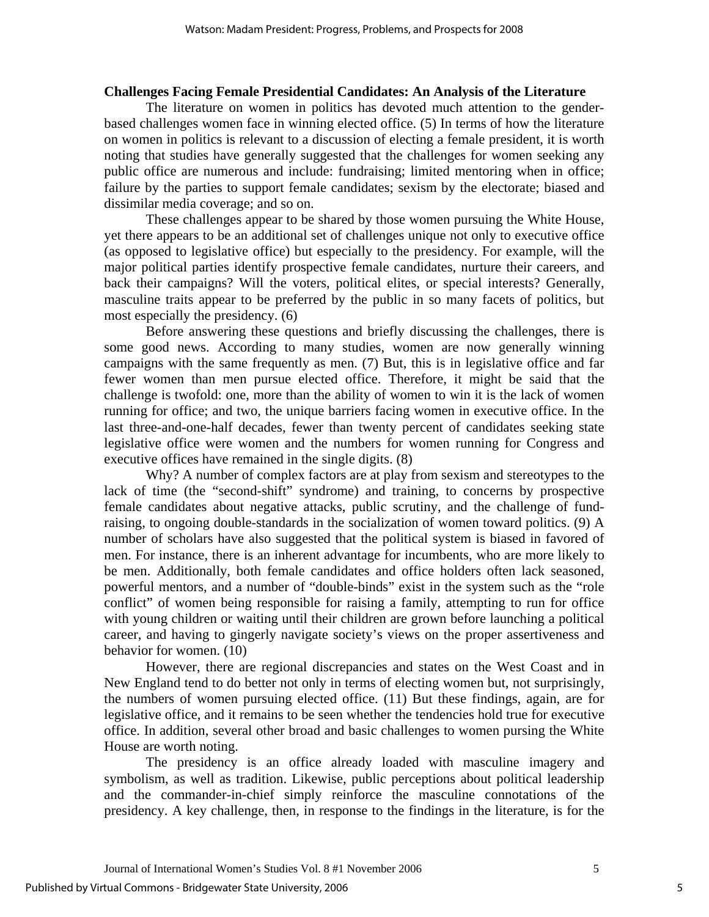### **Challenges Facing Female Presidential Candidates: An Analysis of the Literature**

The literature on women in politics has devoted much attention to the genderbased challenges women face in winning elected office. (5) In terms of how the literature on women in politics is relevant to a discussion of electing a female president, it is worth noting that studies have generally suggested that the challenges for women seeking any public office are numerous and include: fundraising; limited mentoring when in office; failure by the parties to support female candidates; sexism by the electorate; biased and dissimilar media coverage; and so on.

These challenges appear to be shared by those women pursuing the White House, yet there appears to be an additional set of challenges unique not only to executive office (as opposed to legislative office) but especially to the presidency. For example, will the major political parties identify prospective female candidates, nurture their careers, and back their campaigns? Will the voters, political elites, or special interests? Generally, masculine traits appear to be preferred by the public in so many facets of politics, but most especially the presidency. (6)

Before answering these questions and briefly discussing the challenges, there is some good news. According to many studies, women are now generally winning campaigns with the same frequently as men. (7) But, this is in legislative office and far fewer women than men pursue elected office. Therefore, it might be said that the challenge is twofold: one, more than the ability of women to win it is the lack of women running for office; and two, the unique barriers facing women in executive office. In the last three-and-one-half decades, fewer than twenty percent of candidates seeking state legislative office were women and the numbers for women running for Congress and executive offices have remained in the single digits. (8)

Why? A number of complex factors are at play from sexism and stereotypes to the lack of time (the "second-shift" syndrome) and training, to concerns by prospective female candidates about negative attacks, public scrutiny, and the challenge of fundraising, to ongoing double-standards in the socialization of women toward politics. (9) A number of scholars have also suggested that the political system is biased in favored of men. For instance, there is an inherent advantage for incumbents, who are more likely to be men. Additionally, both female candidates and office holders often lack seasoned, powerful mentors, and a number of "double-binds" exist in the system such as the "role conflict" of women being responsible for raising a family, attempting to run for office with young children or waiting until their children are grown before launching a political career, and having to gingerly navigate society's views on the proper assertiveness and behavior for women. (10)

However, there are regional discrepancies and states on the West Coast and in New England tend to do better not only in terms of electing women but, not surprisingly, the numbers of women pursuing elected office. (11) But these findings, again, are for legislative office, and it remains to be seen whether the tendencies hold true for executive office. In addition, several other broad and basic challenges to women pursing the White House are worth noting.

The presidency is an office already loaded with masculine imagery and symbolism, as well as tradition. Likewise, public perceptions about political leadership and the commander-in-chief simply reinforce the masculine connotations of the presidency. A key challenge, then, in response to the findings in the literature, is for the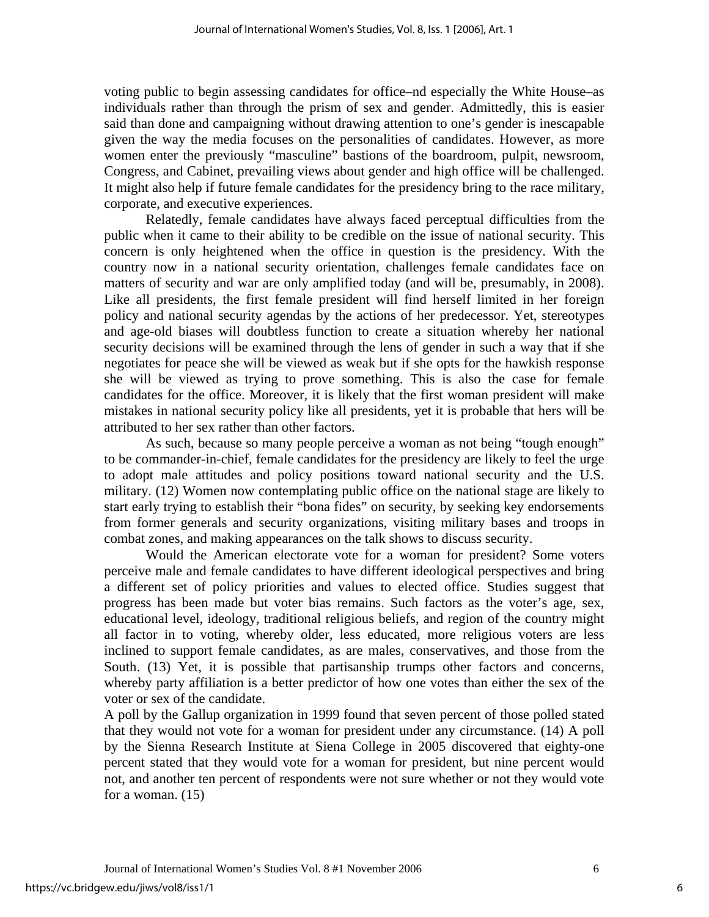voting public to begin assessing candidates for office–nd especially the White House–as individuals rather than through the prism of sex and gender. Admittedly, this is easier said than done and campaigning without drawing attention to one's gender is inescapable given the way the media focuses on the personalities of candidates. However, as more women enter the previously "masculine" bastions of the boardroom, pulpit, newsroom, Congress, and Cabinet, prevailing views about gender and high office will be challenged. It might also help if future female candidates for the presidency bring to the race military, corporate, and executive experiences.

Relatedly, female candidates have always faced perceptual difficulties from the public when it came to their ability to be credible on the issue of national security. This concern is only heightened when the office in question is the presidency. With the country now in a national security orientation, challenges female candidates face on matters of security and war are only amplified today (and will be, presumably, in 2008). Like all presidents, the first female president will find herself limited in her foreign policy and national security agendas by the actions of her predecessor. Yet, stereotypes and age-old biases will doubtless function to create a situation whereby her national security decisions will be examined through the lens of gender in such a way that if she negotiates for peace she will be viewed as weak but if she opts for the hawkish response she will be viewed as trying to prove something. This is also the case for female candidates for the office. Moreover, it is likely that the first woman president will make mistakes in national security policy like all presidents, yet it is probable that hers will be attributed to her sex rather than other factors.

As such, because so many people perceive a woman as not being "tough enough" to be commander-in-chief, female candidates for the presidency are likely to feel the urge to adopt male attitudes and policy positions toward national security and the U.S. military. (12) Women now contemplating public office on the national stage are likely to start early trying to establish their "bona fides" on security, by seeking key endorsements from former generals and security organizations, visiting military bases and troops in combat zones, and making appearances on the talk shows to discuss security.

Would the American electorate vote for a woman for president? Some voters perceive male and female candidates to have different ideological perspectives and bring a different set of policy priorities and values to elected office. Studies suggest that progress has been made but voter bias remains. Such factors as the voter's age, sex, educational level, ideology, traditional religious beliefs, and region of the country might all factor in to voting, whereby older, less educated, more religious voters are less inclined to support female candidates, as are males, conservatives, and those from the South. (13) Yet, it is possible that partisanship trumps other factors and concerns, whereby party affiliation is a better predictor of how one votes than either the sex of the voter or sex of the candidate.

A poll by the Gallup organization in 1999 found that seven percent of those polled stated that they would not vote for a woman for president under any circumstance. (14) A poll by the Sienna Research Institute at Siena College in 2005 discovered that eighty-one percent stated that they would vote for a woman for president, but nine percent would not, and another ten percent of respondents were not sure whether or not they would vote for a woman. (15)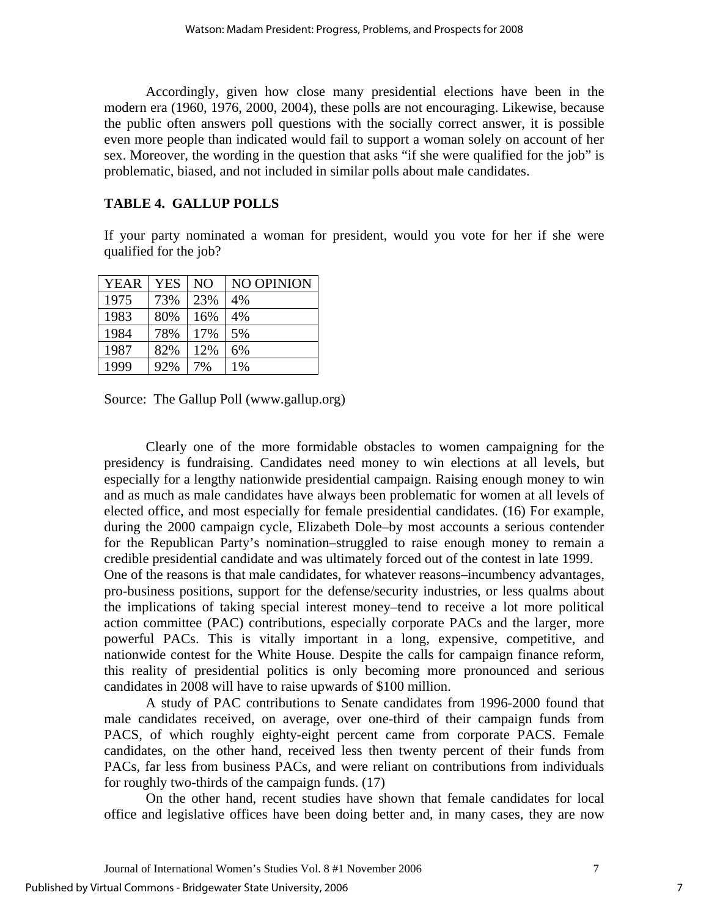Accordingly, given how close many presidential elections have been in the modern era (1960, 1976, 2000, 2004), these polls are not encouraging. Likewise, because the public often answers poll questions with the socially correct answer, it is possible even more people than indicated would fail to support a woman solely on account of her sex. Moreover, the wording in the question that asks "if she were qualified for the job" is problematic, biased, and not included in similar polls about male candidates.

## **TABLE 4. GALLUP POLLS**

If your party nominated a woman for president, would you vote for her if she were qualified for the job?

| <b>YEAR</b> | <b>YES</b> | N <sub>O</sub> | NO OPINION |
|-------------|------------|----------------|------------|
| 1975        | 73%        | 23%            | 4%         |
| 1983        | 80%        | 16%            | 4%         |
| 1984        | 78%        | 17%            | 5%         |
| 1987        | 82%        | 12%            | 6%         |
| 1999        | 92%        | 7%             | 1%         |

Source: The Gallup Poll (www.gallup.org)

Clearly one of the more formidable obstacles to women campaigning for the presidency is fundraising. Candidates need money to win elections at all levels, but especially for a lengthy nationwide presidential campaign. Raising enough money to win and as much as male candidates have always been problematic for women at all levels of elected office, and most especially for female presidential candidates. (16) For example, during the 2000 campaign cycle, Elizabeth Dole–by most accounts a serious contender for the Republican Party's nomination–struggled to raise enough money to remain a credible presidential candidate and was ultimately forced out of the contest in late 1999. One of the reasons is that male candidates, for whatever reasons–incumbency advantages, pro-business positions, support for the defense/security industries, or less qualms about the implications of taking special interest money–tend to receive a lot more political action committee (PAC) contributions, especially corporate PACs and the larger, more powerful PACs. This is vitally important in a long, expensive, competitive, and nationwide contest for the White House. Despite the calls for campaign finance reform, this reality of presidential politics is only becoming more pronounced and serious candidates in 2008 will have to raise upwards of \$100 million.

A study of PAC contributions to Senate candidates from 1996-2000 found that male candidates received, on average, over one-third of their campaign funds from PACS, of which roughly eighty-eight percent came from corporate PACS. Female candidates, on the other hand, received less then twenty percent of their funds from PACs, far less from business PACs, and were reliant on contributions from individuals for roughly two-thirds of the campaign funds. (17)

On the other hand, recent studies have shown that female candidates for local office and legislative offices have been doing better and, in many cases, they are now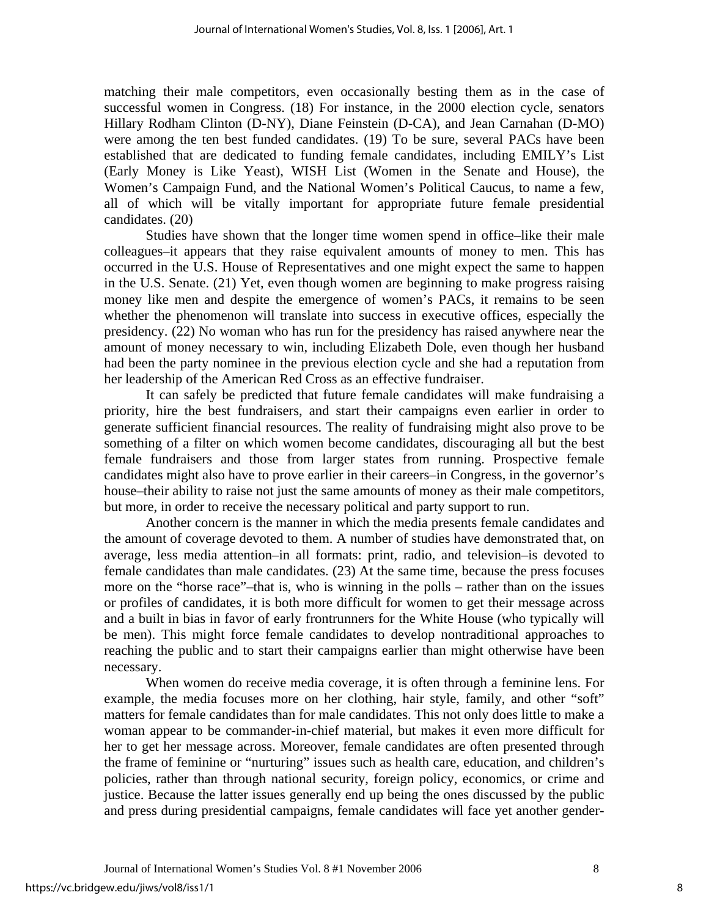matching their male competitors, even occasionally besting them as in the case of successful women in Congress. (18) For instance, in the 2000 election cycle, senators Hillary Rodham Clinton (D-NY), Diane Feinstein (D-CA), and Jean Carnahan (D-MO) were among the ten best funded candidates. (19) To be sure, several PACs have been established that are dedicated to funding female candidates, including EMILY's List (Early Money is Like Yeast), WISH List (Women in the Senate and House), the Women's Campaign Fund, and the National Women's Political Caucus, to name a few, all of which will be vitally important for appropriate future female presidential candidates. (20)

Studies have shown that the longer time women spend in office–like their male colleagues–it appears that they raise equivalent amounts of money to men. This has occurred in the U.S. House of Representatives and one might expect the same to happen in the U.S. Senate. (21) Yet, even though women are beginning to make progress raising money like men and despite the emergence of women's PACs, it remains to be seen whether the phenomenon will translate into success in executive offices, especially the presidency. (22) No woman who has run for the presidency has raised anywhere near the amount of money necessary to win, including Elizabeth Dole, even though her husband had been the party nominee in the previous election cycle and she had a reputation from her leadership of the American Red Cross as an effective fundraiser.

It can safely be predicted that future female candidates will make fundraising a priority, hire the best fundraisers, and start their campaigns even earlier in order to generate sufficient financial resources. The reality of fundraising might also prove to be something of a filter on which women become candidates, discouraging all but the best female fundraisers and those from larger states from running. Prospective female candidates might also have to prove earlier in their careers–in Congress, in the governor's house–their ability to raise not just the same amounts of money as their male competitors, but more, in order to receive the necessary political and party support to run.

Another concern is the manner in which the media presents female candidates and the amount of coverage devoted to them. A number of studies have demonstrated that, on average, less media attention–in all formats: print, radio, and television–is devoted to female candidates than male candidates. (23) At the same time, because the press focuses more on the "horse race"–that is, who is winning in the polls – rather than on the issues or profiles of candidates, it is both more difficult for women to get their message across and a built in bias in favor of early frontrunners for the White House (who typically will be men). This might force female candidates to develop nontraditional approaches to reaching the public and to start their campaigns earlier than might otherwise have been necessary.

When women do receive media coverage, it is often through a feminine lens. For example, the media focuses more on her clothing, hair style, family, and other "soft" matters for female candidates than for male candidates. This not only does little to make a woman appear to be commander-in-chief material, but makes it even more difficult for her to get her message across. Moreover, female candidates are often presented through the frame of feminine or "nurturing" issues such as health care, education, and children's policies, rather than through national security, foreign policy, economics, or crime and justice. Because the latter issues generally end up being the ones discussed by the public and press during presidential campaigns, female candidates will face yet another gender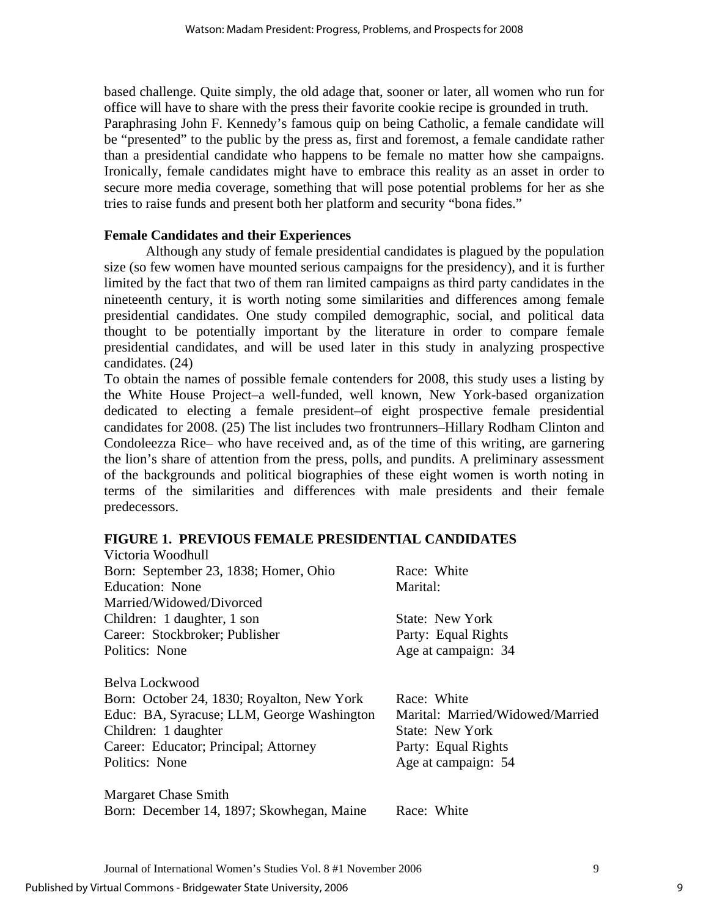based challenge. Quite simply, the old adage that, sooner or later, all women who run for office will have to share with the press their favorite cookie recipe is grounded in truth. Paraphrasing John F. Kennedy's famous quip on being Catholic, a female candidate will be "presented" to the public by the press as, first and foremost, a female candidate rather than a presidential candidate who happens to be female no matter how she campaigns. Ironically, female candidates might have to embrace this reality as an asset in order to secure more media coverage, something that will pose potential problems for her as she tries to raise funds and present both her platform and security "bona fides."

## **Female Candidates and their Experiences**

Although any study of female presidential candidates is plagued by the population size (so few women have mounted serious campaigns for the presidency), and it is further limited by the fact that two of them ran limited campaigns as third party candidates in the nineteenth century, it is worth noting some similarities and differences among female presidential candidates. One study compiled demographic, social, and political data thought to be potentially important by the literature in order to compare female presidential candidates, and will be used later in this study in analyzing prospective candidates. (24)

To obtain the names of possible female contenders for 2008, this study uses a listing by the White House Project–a well-funded, well known, New York-based organization dedicated to electing a female president–of eight prospective female presidential candidates for 2008. (25) The list includes two frontrunners–Hillary Rodham Clinton and Condoleezza Rice– who have received and, as of the time of this writing, are garnering the lion's share of attention from the press, polls, and pundits. A preliminary assessment of the backgrounds and political biographies of these eight women is worth noting in terms of the similarities and differences with male presidents and their female predecessors.

#### **FIGURE 1. PREVIOUS FEMALE PRESIDENTIAL CANDIDATES**  Victoria Woodhull

| VICLOHA WOODHILII                          |                                  |
|--------------------------------------------|----------------------------------|
| Born: September 23, 1838; Homer, Ohio      | Race: White                      |
| <b>Education: None</b>                     | Marital:                         |
| Married/Widowed/Divorced                   |                                  |
| Children: 1 daughter, 1 son                | State: New York                  |
| Career: Stockbroker; Publisher             | Party: Equal Rights              |
| Politics: None                             | Age at campaign: 34              |
| Belva Lockwood                             |                                  |
| Born: October 24, 1830; Royalton, New York | Race: White                      |
| Educ: BA, Syracuse; LLM, George Washington | Marital: Married/Widowed/Married |
| Children: 1 daughter                       | State: New York                  |
| Career: Educator; Principal; Attorney      | Party: Equal Rights              |
| Politics: None                             | Age at campaign: 54              |
|                                            |                                  |

Margaret Chase Smith Born: December 14, 1897; Skowhegan, Maine Race: White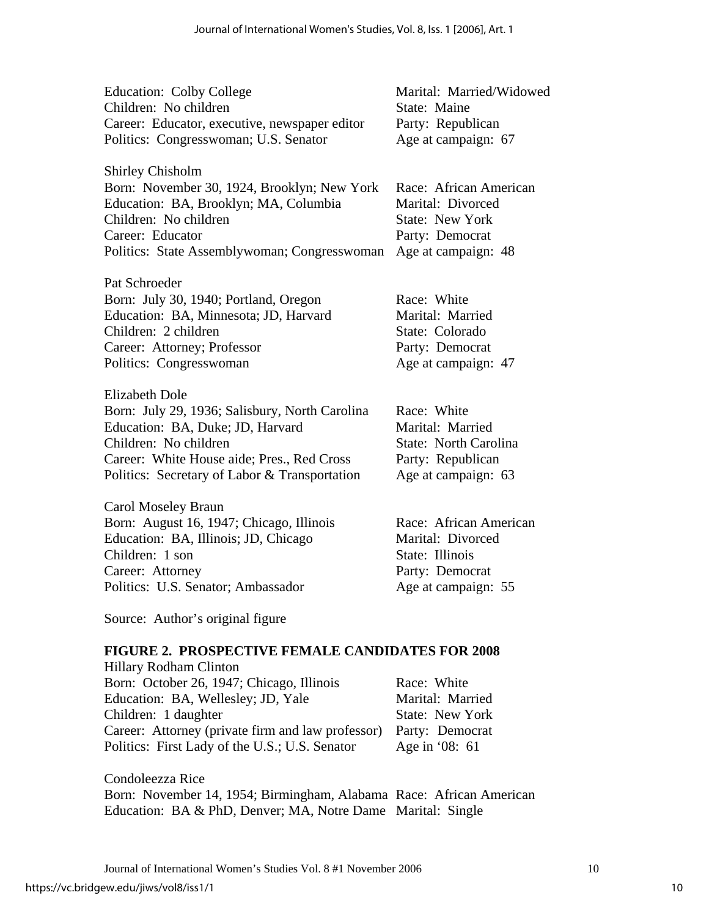| Education: Colby College                       | Marital: Married/Widowed |
|------------------------------------------------|--------------------------|
| Children: No children                          | State: Maine             |
| Career: Educator, executive, newspaper editor  | Party: Republican        |
| Politics: Congresswoman; U.S. Senator          | Age at campaign: 67      |
| <b>Shirley Chisholm</b>                        |                          |
| Born: November 30, 1924, Brooklyn; New York    | Race: African American   |
| Education: BA, Brooklyn; MA, Columbia          | Marital: Divorced        |
| Children: No children                          | State: New York          |
| Career: Educator                               | Party: Democrat          |
| Politics: State Assemblywoman; Congresswoman   | Age at campaign: 48      |
| Pat Schroeder                                  |                          |
| Born: July 30, 1940; Portland, Oregon          | Race: White              |
| Education: BA, Minnesota; JD, Harvard          | Marital: Married         |
| Children: 2 children                           | State: Colorado          |
| Career: Attorney; Professor                    | Party: Democrat          |
| Politics: Congresswoman                        | Age at campaign: 47      |
| Elizabeth Dole                                 |                          |
| Born: July 29, 1936; Salisbury, North Carolina | Race: White              |
| Education: BA, Duke; JD, Harvard               | Marital: Married         |

Children: No children State: North Carolina Career: White House aide; Pres., Red Cross Party: Republican Politics: Secretary of Labor & Transportation Age at campaign: 63

Carol Moseley Braun Born: August 16, 1947; Chicago, Illinois Race: African American Education: BA, Illinois; JD, Chicago Marital: Divorced Children: 1 son State: Illinois Career: Attorney Party: Democrat Politics: U.S. Senator; Ambassador Age at campaign: 55

Source: Author's original figure

# **FIGURE 2. PROSPECTIVE FEMALE CANDIDATES FOR 2008**

| <b>Hillary Rodham Clinton</b>                     |                  |
|---------------------------------------------------|------------------|
| Born: October 26, 1947; Chicago, Illinois         | Race: White      |
| Education: BA, Wellesley; JD, Yale                | Marital: Married |
| Children: 1 daughter                              | State: New York  |
| Career: Attorney (private firm and law professor) | Party: Democrat  |
| Politics: First Lady of the U.S.; U.S. Senator    | Age in '08: 61   |

Condoleezza Rice Born: November 14, 1954; Birmingham, Alabama Race: African American Education: BA & PhD, Denver; MA, Notre Dame Marital: Single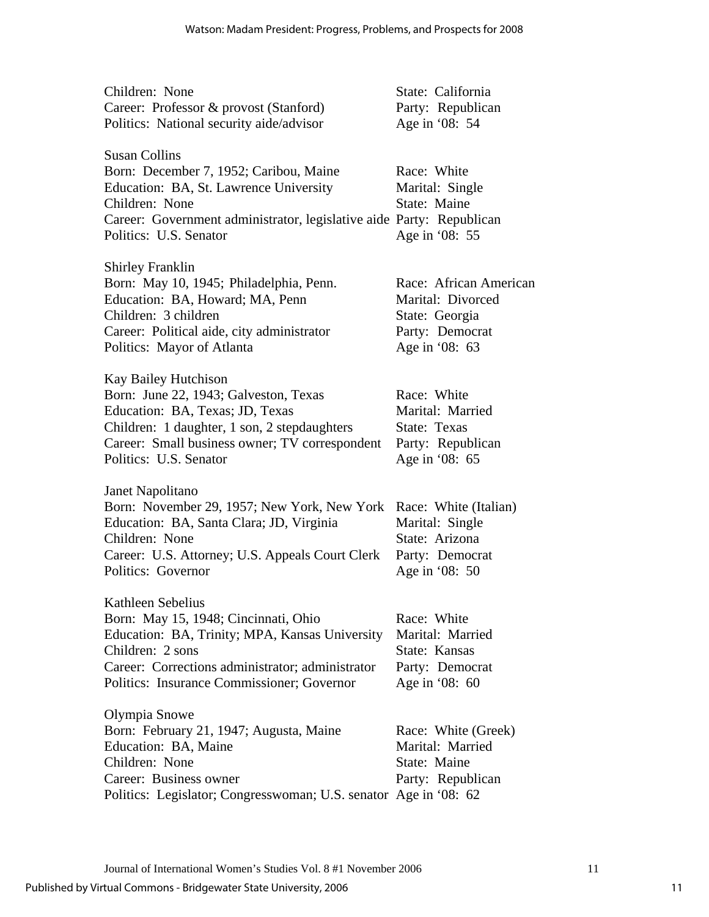| Children: None                                                       | State: California      |
|----------------------------------------------------------------------|------------------------|
| Career: Professor & provost (Stanford)                               | Party: Republican      |
| Politics: National security aide/advisor                             | Age in '08: 54         |
|                                                                      |                        |
| <b>Susan Collins</b>                                                 |                        |
| Born: December 7, 1952; Caribou, Maine                               | Race: White            |
| Education: BA, St. Lawrence University                               | Marital: Single        |
| Children: None                                                       | State: Maine           |
| Career: Government administrator, legislative aide Party: Republican |                        |
| Politics: U.S. Senator                                               | Age in '08: 55         |
|                                                                      |                        |
| <b>Shirley Franklin</b>                                              |                        |
| Born: May 10, 1945; Philadelphia, Penn.                              | Race: African American |
| Education: BA, Howard; MA, Penn                                      | Marital: Divorced      |
| Children: 3 children                                                 | State: Georgia         |
| Career: Political aide, city administrator                           | Party: Democrat        |
| Politics: Mayor of Atlanta                                           | Age in '08: 63         |
| Kay Bailey Hutchison                                                 |                        |
| Born: June 22, 1943; Galveston, Texas                                | Race: White            |
| Education: BA, Texas; JD, Texas                                      | Marital: Married       |
| Children: 1 daughter, 1 son, 2 stepdaughters                         | State: Texas           |
| Career: Small business owner; TV correspondent                       | Party: Republican      |
| Politics: U.S. Senator                                               | Age in '08: 65         |
|                                                                      |                        |
| Janet Napolitano                                                     |                        |
| Born: November 29, 1957; New York, New York                          | Race: White (Italian)  |
| Education: BA, Santa Clara; JD, Virginia                             | Marital: Single        |
| Children: None                                                       | State: Arizona         |
| Career: U.S. Attorney; U.S. Appeals Court Clerk                      | Party: Democrat        |
| Politics: Governor                                                   | Age in '08: 50         |
|                                                                      |                        |
| Kathleen Sebelius                                                    |                        |
| Born: May 15, 1948; Cincinnati, Ohio                                 | Race: White            |
| Education: BA, Trinity; MPA, Kansas University                       | Marital: Married       |
| Children: 2 sons                                                     | State: Kansas          |
| Career: Corrections administrator; administrator                     | Party: Democrat        |
| Politics: Insurance Commissioner; Governor                           | Age in '08: 60         |
| Olympia Snowe                                                        |                        |
| Born: February 21, 1947; Augusta, Maine                              | Race: White (Greek)    |
| Education: BA, Maine                                                 | Marital: Married       |
| Children: None                                                       | State: Maine           |
| Career: Business owner                                               | Party: Republican      |
| Politics: Legislator; Congresswoman; U.S. senator Age in '08: 62     |                        |
|                                                                      |                        |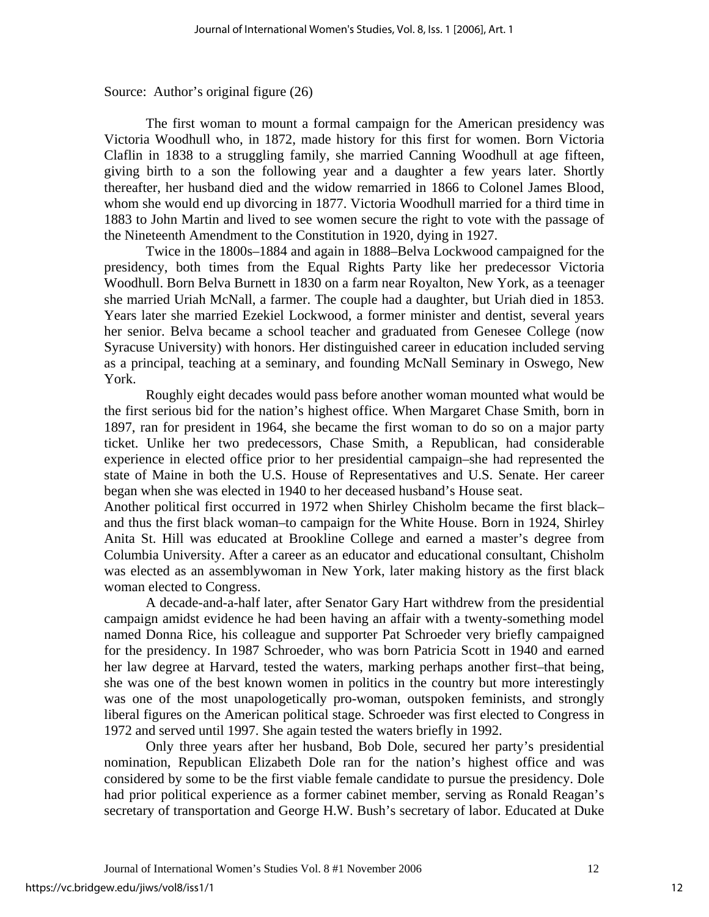Source: Author's original figure (26)

The first woman to mount a formal campaign for the American presidency was Victoria Woodhull who, in 1872, made history for this first for women. Born Victoria Claflin in 1838 to a struggling family, she married Canning Woodhull at age fifteen, giving birth to a son the following year and a daughter a few years later. Shortly thereafter, her husband died and the widow remarried in 1866 to Colonel James Blood, whom she would end up divorcing in 1877. Victoria Woodhull married for a third time in 1883 to John Martin and lived to see women secure the right to vote with the passage of the Nineteenth Amendment to the Constitution in 1920, dying in 1927.

Twice in the 1800s–1884 and again in 1888–Belva Lockwood campaigned for the presidency, both times from the Equal Rights Party like her predecessor Victoria Woodhull. Born Belva Burnett in 1830 on a farm near Royalton, New York, as a teenager she married Uriah McNall, a farmer. The couple had a daughter, but Uriah died in 1853. Years later she married Ezekiel Lockwood, a former minister and dentist, several years her senior. Belva became a school teacher and graduated from Genesee College (now Syracuse University) with honors. Her distinguished career in education included serving as a principal, teaching at a seminary, and founding McNall Seminary in Oswego, New York.

 Roughly eight decades would pass before another woman mounted what would be the first serious bid for the nation's highest office. When Margaret Chase Smith, born in 1897, ran for president in 1964, she became the first woman to do so on a major party ticket. Unlike her two predecessors, Chase Smith, a Republican, had considerable experience in elected office prior to her presidential campaign–she had represented the state of Maine in both the U.S. House of Representatives and U.S. Senate. Her career began when she was elected in 1940 to her deceased husband's House seat.

Another political first occurred in 1972 when Shirley Chisholm became the first black– and thus the first black woman–to campaign for the White House. Born in 1924, Shirley Anita St. Hill was educated at Brookline College and earned a master's degree from Columbia University. After a career as an educator and educational consultant, Chisholm was elected as an assemblywoman in New York, later making history as the first black woman elected to Congress.

 A decade-and-a-half later, after Senator Gary Hart withdrew from the presidential campaign amidst evidence he had been having an affair with a twenty-something model named Donna Rice, his colleague and supporter Pat Schroeder very briefly campaigned for the presidency. In 1987 Schroeder, who was born Patricia Scott in 1940 and earned her law degree at Harvard, tested the waters, marking perhaps another first–that being, she was one of the best known women in politics in the country but more interestingly was one of the most unapologetically pro-woman, outspoken feminists, and strongly liberal figures on the American political stage. Schroeder was first elected to Congress in 1972 and served until 1997. She again tested the waters briefly in 1992.

Only three years after her husband, Bob Dole, secured her party's presidential nomination, Republican Elizabeth Dole ran for the nation's highest office and was considered by some to be the first viable female candidate to pursue the presidency. Dole had prior political experience as a former cabinet member, serving as Ronald Reagan's secretary of transportation and George H.W. Bush's secretary of labor. Educated at Duke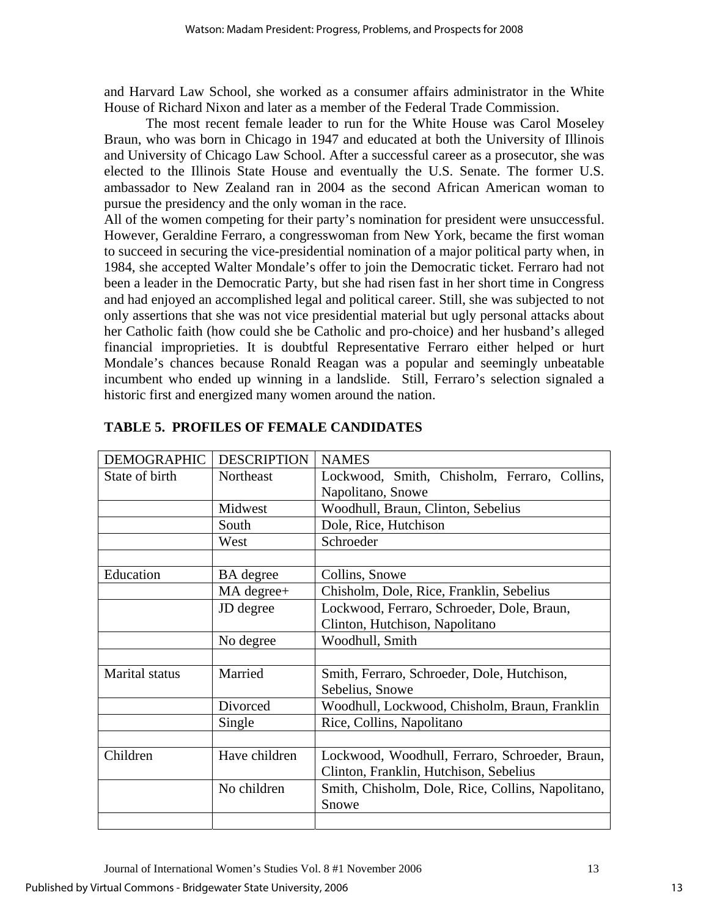and Harvard Law School, she worked as a consumer affairs administrator in the White House of Richard Nixon and later as a member of the Federal Trade Commission.

The most recent female leader to run for the White House was Carol Moseley Braun, who was born in Chicago in 1947 and educated at both the University of Illinois and University of Chicago Law School. After a successful career as a prosecutor, she was elected to the Illinois State House and eventually the U.S. Senate. The former U.S. ambassador to New Zealand ran in 2004 as the second African American woman to pursue the presidency and the only woman in the race.

All of the women competing for their party's nomination for president were unsuccessful. However, Geraldine Ferraro, a congresswoman from New York, became the first woman to succeed in securing the vice-presidential nomination of a major political party when, in 1984, she accepted Walter Mondale's offer to join the Democratic ticket. Ferraro had not been a leader in the Democratic Party, but she had risen fast in her short time in Congress and had enjoyed an accomplished legal and political career. Still, she was subjected to not only assertions that she was not vice presidential material but ugly personal attacks about her Catholic faith (how could she be Catholic and pro-choice) and her husband's alleged financial improprieties. It is doubtful Representative Ferraro either helped or hurt Mondale's chances because Ronald Reagan was a popular and seemingly unbeatable incumbent who ended up winning in a landslide. Still, Ferraro's selection signaled a historic first and energized many women around the nation.

| <b>DEMOGRAPHIC</b> | <b>DESCRIPTION</b> | <b>NAMES</b>                                      |
|--------------------|--------------------|---------------------------------------------------|
| State of birth     | Northeast          | Lockwood, Smith, Chisholm, Ferraro, Collins,      |
|                    |                    | Napolitano, Snowe                                 |
|                    | Midwest            | Woodhull, Braun, Clinton, Sebelius                |
|                    | South              | Dole, Rice, Hutchison                             |
|                    | West               | Schroeder                                         |
|                    |                    |                                                   |
| Education          | <b>BA</b> degree   | Collins, Snowe                                    |
|                    | MA degree+         | Chisholm, Dole, Rice, Franklin, Sebelius          |
|                    | JD degree          | Lockwood, Ferraro, Schroeder, Dole, Braun,        |
|                    |                    | Clinton, Hutchison, Napolitano                    |
|                    | No degree          | Woodhull, Smith                                   |
|                    |                    |                                                   |
| Marital status     | Married            | Smith, Ferraro, Schroeder, Dole, Hutchison,       |
|                    |                    | Sebelius, Snowe                                   |
|                    | Divorced           | Woodhull, Lockwood, Chisholm, Braun, Franklin     |
|                    | Single             | Rice, Collins, Napolitano                         |
|                    |                    |                                                   |
| Children           | Have children      | Lockwood, Woodhull, Ferraro, Schroeder, Braun,    |
|                    |                    | Clinton, Franklin, Hutchison, Sebelius            |
|                    | No children        | Smith, Chisholm, Dole, Rice, Collins, Napolitano, |
|                    |                    | Snowe                                             |
|                    |                    |                                                   |

# **TABLE 5. PROFILES OF FEMALE CANDIDATES**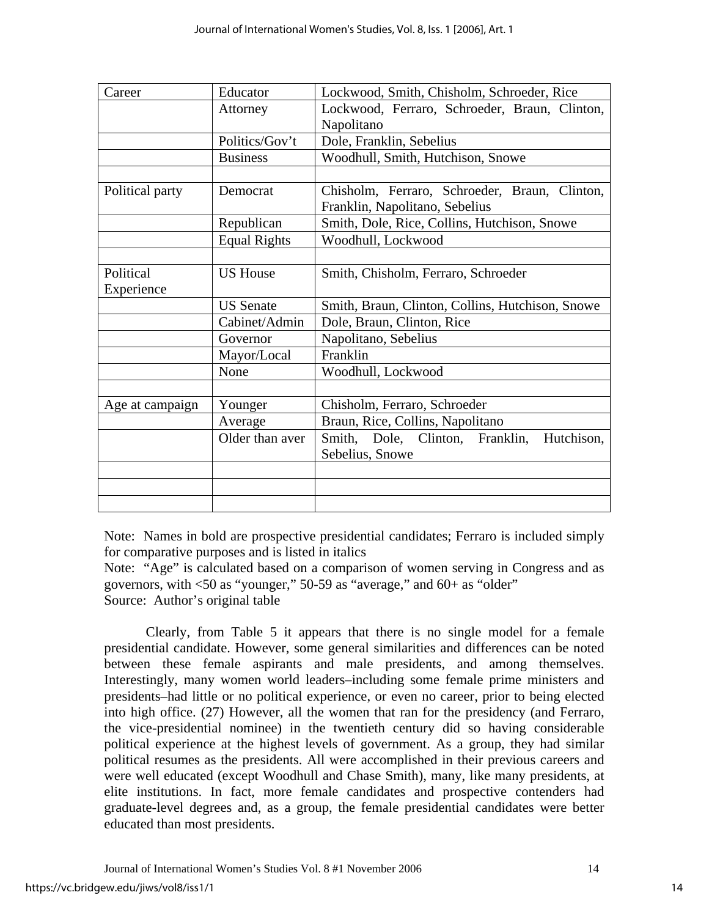| Career          | Educator            | Lockwood, Smith, Chisholm, Schroeder, Rice       |
|-----------------|---------------------|--------------------------------------------------|
|                 | Attorney            | Lockwood, Ferraro, Schroeder, Braun, Clinton,    |
|                 |                     | Napolitano                                       |
|                 | Politics/Gov't      | Dole, Franklin, Sebelius                         |
|                 | <b>Business</b>     | Woodhull, Smith, Hutchison, Snowe                |
|                 |                     |                                                  |
| Political party | Democrat            | Chisholm, Ferraro, Schroeder, Braun, Clinton,    |
|                 |                     | Franklin, Napolitano, Sebelius                   |
|                 | Republican          | Smith, Dole, Rice, Collins, Hutchison, Snowe     |
|                 | <b>Equal Rights</b> | Woodhull, Lockwood                               |
|                 |                     |                                                  |
| Political       | <b>US House</b>     | Smith, Chisholm, Ferraro, Schroeder              |
| Experience      |                     |                                                  |
|                 | <b>US</b> Senate    | Smith, Braun, Clinton, Collins, Hutchison, Snowe |
|                 | Cabinet/Admin       | Dole, Braun, Clinton, Rice                       |
|                 | Governor            | Napolitano, Sebelius                             |
|                 | Mayor/Local         | Franklin                                         |
|                 | None                | Woodhull, Lockwood                               |
|                 |                     |                                                  |
| Age at campaign | Younger             | Chisholm, Ferraro, Schroeder                     |
|                 | Average             | Braun, Rice, Collins, Napolitano                 |
|                 | Older than aver     | Smith, Dole, Clinton, Franklin,<br>Hutchison,    |
|                 |                     | Sebelius, Snowe                                  |
|                 |                     |                                                  |
|                 |                     |                                                  |
|                 |                     |                                                  |

Note: Names in bold are prospective presidential candidates; Ferraro is included simply for comparative purposes and is listed in italics

Note: "Age" is calculated based on a comparison of women serving in Congress and as governors, with <50 as "younger," 50-59 as "average," and 60+ as "older" Source: Author's original table

 Clearly, from Table 5 it appears that there is no single model for a female presidential candidate. However, some general similarities and differences can be noted between these female aspirants and male presidents, and among themselves. Interestingly, many women world leaders–including some female prime ministers and presidents–had little or no political experience, or even no career, prior to being elected into high office. (27) However, all the women that ran for the presidency (and Ferraro, the vice-presidential nominee) in the twentieth century did so having considerable political experience at the highest levels of government. As a group, they had similar political resumes as the presidents. All were accomplished in their previous careers and were well educated (except Woodhull and Chase Smith), many, like many presidents, at elite institutions. In fact, more female candidates and prospective contenders had graduate-level degrees and, as a group, the female presidential candidates were better educated than most presidents.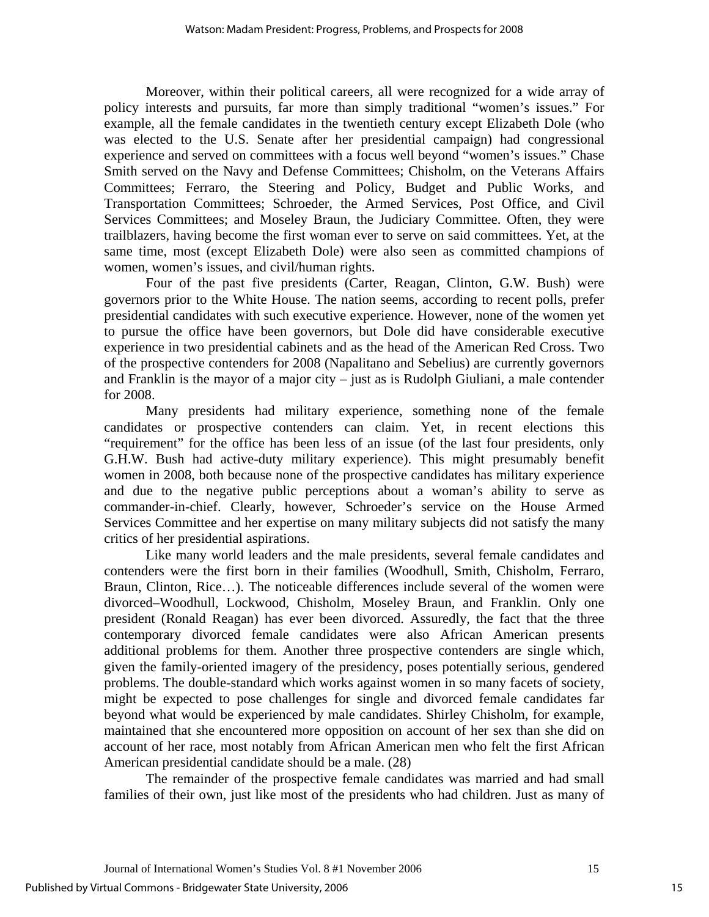Moreover, within their political careers, all were recognized for a wide array of policy interests and pursuits, far more than simply traditional "women's issues." For example, all the female candidates in the twentieth century except Elizabeth Dole (who was elected to the U.S. Senate after her presidential campaign) had congressional experience and served on committees with a focus well beyond "women's issues." Chase Smith served on the Navy and Defense Committees; Chisholm, on the Veterans Affairs Committees; Ferraro, the Steering and Policy, Budget and Public Works, and Transportation Committees; Schroeder, the Armed Services, Post Office, and Civil Services Committees; and Moseley Braun, the Judiciary Committee. Often, they were trailblazers, having become the first woman ever to serve on said committees. Yet, at the same time, most (except Elizabeth Dole) were also seen as committed champions of women, women's issues, and civil/human rights.

Four of the past five presidents (Carter, Reagan, Clinton, G.W. Bush) were governors prior to the White House. The nation seems, according to recent polls, prefer presidential candidates with such executive experience. However, none of the women yet to pursue the office have been governors, but Dole did have considerable executive experience in two presidential cabinets and as the head of the American Red Cross. Two of the prospective contenders for 2008 (Napalitano and Sebelius) are currently governors and Franklin is the mayor of a major city – just as is Rudolph Giuliani, a male contender for 2008.

Many presidents had military experience, something none of the female candidates or prospective contenders can claim. Yet, in recent elections this "requirement" for the office has been less of an issue (of the last four presidents, only G.H.W. Bush had active-duty military experience). This might presumably benefit women in 2008, both because none of the prospective candidates has military experience and due to the negative public perceptions about a woman's ability to serve as commander-in-chief. Clearly, however, Schroeder's service on the House Armed Services Committee and her expertise on many military subjects did not satisfy the many critics of her presidential aspirations.

 Like many world leaders and the male presidents, several female candidates and contenders were the first born in their families (Woodhull, Smith, Chisholm, Ferraro, Braun, Clinton, Rice…). The noticeable differences include several of the women were divorced–Woodhull, Lockwood, Chisholm, Moseley Braun, and Franklin. Only one president (Ronald Reagan) has ever been divorced. Assuredly, the fact that the three contemporary divorced female candidates were also African American presents additional problems for them. Another three prospective contenders are single which, given the family-oriented imagery of the presidency, poses potentially serious, gendered problems. The double-standard which works against women in so many facets of society, might be expected to pose challenges for single and divorced female candidates far beyond what would be experienced by male candidates. Shirley Chisholm, for example, maintained that she encountered more opposition on account of her sex than she did on account of her race, most notably from African American men who felt the first African American presidential candidate should be a male. (28)

The remainder of the prospective female candidates was married and had small families of their own, just like most of the presidents who had children. Just as many of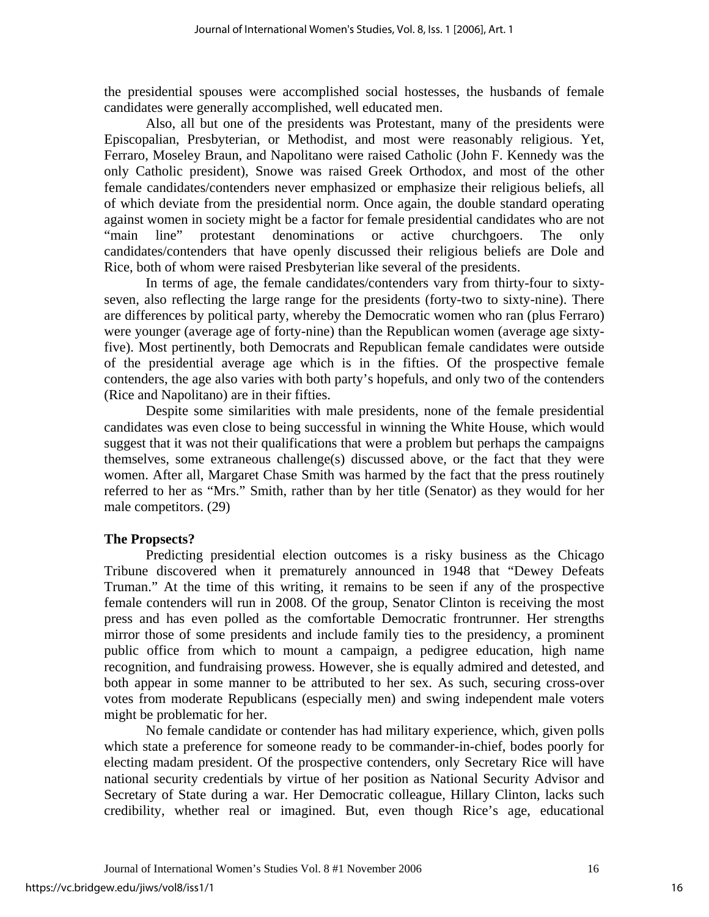the presidential spouses were accomplished social hostesses, the husbands of female candidates were generally accomplished, well educated men.

Also, all but one of the presidents was Protestant, many of the presidents were Episcopalian, Presbyterian, or Methodist, and most were reasonably religious. Yet, Ferraro, Moseley Braun, and Napolitano were raised Catholic (John F. Kennedy was the only Catholic president), Snowe was raised Greek Orthodox, and most of the other female candidates/contenders never emphasized or emphasize their religious beliefs, all of which deviate from the presidential norm. Once again, the double standard operating against women in society might be a factor for female presidential candidates who are not "main line" protestant denominations or active churchgoers. The only candidates/contenders that have openly discussed their religious beliefs are Dole and Rice, both of whom were raised Presbyterian like several of the presidents.

In terms of age, the female candidates/contenders vary from thirty-four to sixtyseven, also reflecting the large range for the presidents (forty-two to sixty-nine). There are differences by political party, whereby the Democratic women who ran (plus Ferraro) were younger (average age of forty-nine) than the Republican women (average age sixtyfive). Most pertinently, both Democrats and Republican female candidates were outside of the presidential average age which is in the fifties. Of the prospective female contenders, the age also varies with both party's hopefuls, and only two of the contenders (Rice and Napolitano) are in their fifties.

 Despite some similarities with male presidents, none of the female presidential candidates was even close to being successful in winning the White House, which would suggest that it was not their qualifications that were a problem but perhaps the campaigns themselves, some extraneous challenge(s) discussed above, or the fact that they were women. After all, Margaret Chase Smith was harmed by the fact that the press routinely referred to her as "Mrs." Smith, rather than by her title (Senator) as they would for her male competitors. (29)

## **The Propsects?**

Predicting presidential election outcomes is a risky business as the Chicago Tribune discovered when it prematurely announced in 1948 that "Dewey Defeats Truman." At the time of this writing, it remains to be seen if any of the prospective female contenders will run in 2008. Of the group, Senator Clinton is receiving the most press and has even polled as the comfortable Democratic frontrunner. Her strengths mirror those of some presidents and include family ties to the presidency, a prominent public office from which to mount a campaign, a pedigree education, high name recognition, and fundraising prowess. However, she is equally admired and detested, and both appear in some manner to be attributed to her sex. As such, securing cross-over votes from moderate Republicans (especially men) and swing independent male voters might be problematic for her.

No female candidate or contender has had military experience, which, given polls which state a preference for someone ready to be commander-in-chief, bodes poorly for electing madam president. Of the prospective contenders, only Secretary Rice will have national security credentials by virtue of her position as National Security Advisor and Secretary of State during a war. Her Democratic colleague, Hillary Clinton, lacks such credibility, whether real or imagined. But, even though Rice's age, educational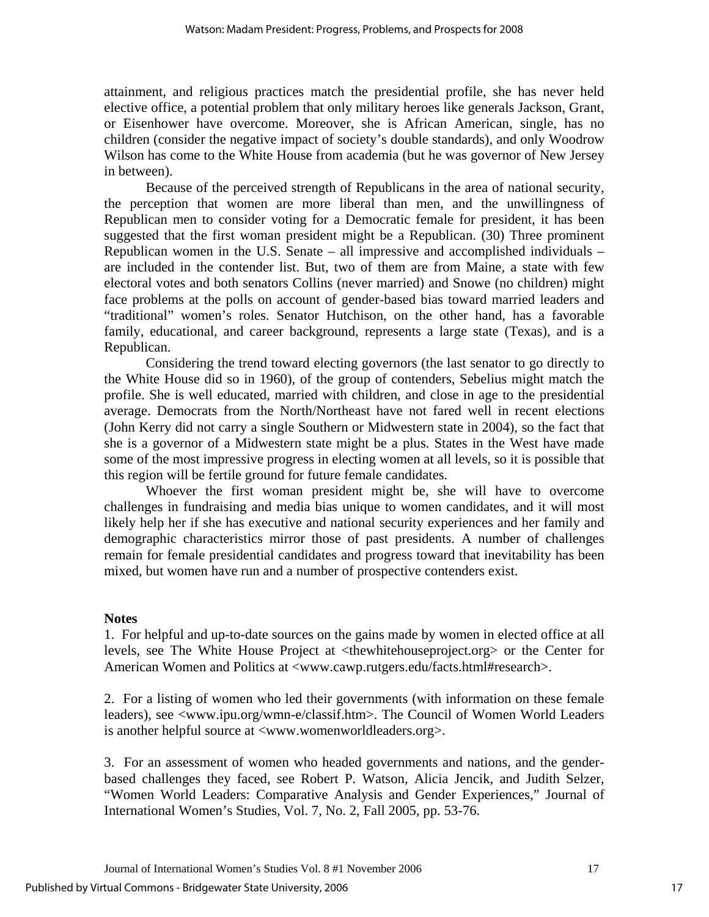attainment, and religious practices match the presidential profile, she has never held elective office, a potential problem that only military heroes like generals Jackson, Grant, or Eisenhower have overcome. Moreover, she is African American, single, has no children (consider the negative impact of society's double standards), and only Woodrow Wilson has come to the White House from academia (but he was governor of New Jersey in between).

Because of the perceived strength of Republicans in the area of national security, the perception that women are more liberal than men, and the unwillingness of Republican men to consider voting for a Democratic female for president, it has been suggested that the first woman president might be a Republican. (30) Three prominent Republican women in the U.S. Senate – all impressive and accomplished individuals – are included in the contender list. But, two of them are from Maine, a state with few electoral votes and both senators Collins (never married) and Snowe (no children) might face problems at the polls on account of gender-based bias toward married leaders and "traditional" women's roles. Senator Hutchison, on the other hand, has a favorable family, educational, and career background, represents a large state (Texas), and is a Republican.

Considering the trend toward electing governors (the last senator to go directly to the White House did so in 1960), of the group of contenders, Sebelius might match the profile. She is well educated, married with children, and close in age to the presidential average. Democrats from the North/Northeast have not fared well in recent elections (John Kerry did not carry a single Southern or Midwestern state in 2004), so the fact that she is a governor of a Midwestern state might be a plus. States in the West have made some of the most impressive progress in electing women at all levels, so it is possible that this region will be fertile ground for future female candidates.

Whoever the first woman president might be, she will have to overcome challenges in fundraising and media bias unique to women candidates, and it will most likely help her if she has executive and national security experiences and her family and demographic characteristics mirror those of past presidents. A number of challenges remain for female presidential candidates and progress toward that inevitability has been mixed, but women have run and a number of prospective contenders exist.

### **Notes**

1. For helpful and up-to-date sources on the gains made by women in elected office at all levels, see The White House Project at <thewhitehouseproject.org> or the Center for American Women and Politics at <www.cawp.rutgers.edu/facts.html#research>.

2. For a listing of women who led their governments (with information on these female leaders), see <www.ipu.org/wmn-e/classif.htm>. The Council of Women World Leaders is another helpful source at <www.womenworldleaders.org>.

3. For an assessment of women who headed governments and nations, and the genderbased challenges they faced, see Robert P. Watson, Alicia Jencik, and Judith Selzer, "Women World Leaders: Comparative Analysis and Gender Experiences," Journal of International Women's Studies, Vol. 7, No. 2, Fall 2005, pp. 53-76.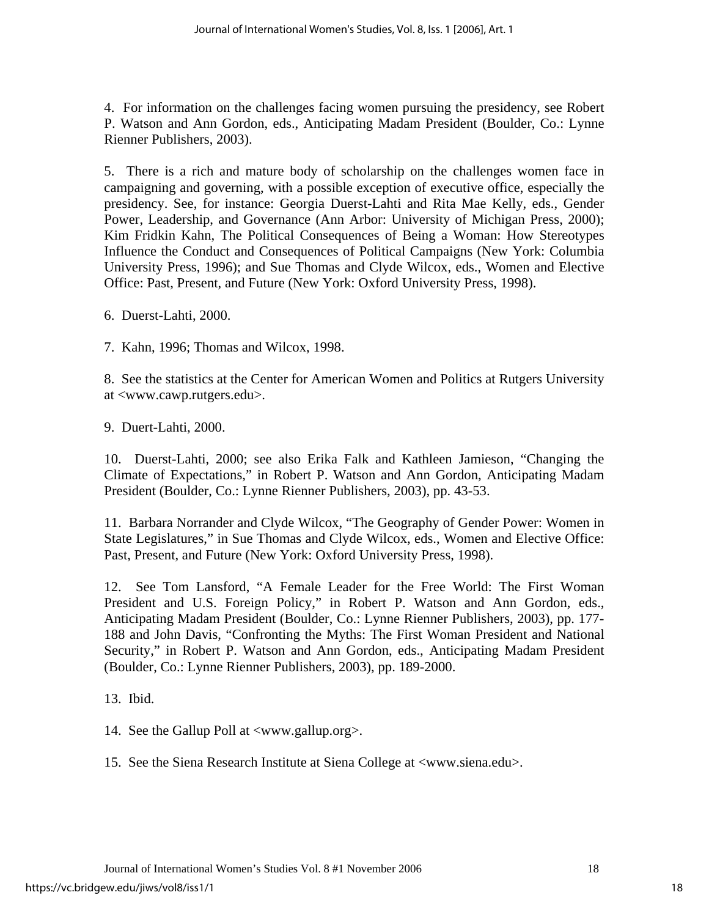4. For information on the challenges facing women pursuing the presidency, see Robert P. Watson and Ann Gordon, eds., Anticipating Madam President (Boulder, Co.: Lynne Rienner Publishers, 2003).

5. There is a rich and mature body of scholarship on the challenges women face in campaigning and governing, with a possible exception of executive office, especially the presidency. See, for instance: Georgia Duerst-Lahti and Rita Mae Kelly, eds., Gender Power, Leadership, and Governance (Ann Arbor: University of Michigan Press, 2000); Kim Fridkin Kahn, The Political Consequences of Being a Woman: How Stereotypes Influence the Conduct and Consequences of Political Campaigns (New York: Columbia University Press, 1996); and Sue Thomas and Clyde Wilcox, eds., Women and Elective Office: Past, Present, and Future (New York: Oxford University Press, 1998).

6. Duerst-Lahti, 2000.

7. Kahn, 1996; Thomas and Wilcox, 1998.

8. See the statistics at the Center for American Women and Politics at Rutgers University at <www.cawp.rutgers.edu>.

9. Duert-Lahti, 2000.

10. Duerst-Lahti, 2000; see also Erika Falk and Kathleen Jamieson, "Changing the Climate of Expectations," in Robert P. Watson and Ann Gordon, Anticipating Madam President (Boulder, Co.: Lynne Rienner Publishers, 2003), pp. 43-53.

11. Barbara Norrander and Clyde Wilcox, "The Geography of Gender Power: Women in State Legislatures," in Sue Thomas and Clyde Wilcox, eds., Women and Elective Office: Past, Present, and Future (New York: Oxford University Press, 1998).

12. See Tom Lansford, "A Female Leader for the Free World: The First Woman President and U.S. Foreign Policy," in Robert P. Watson and Ann Gordon, eds., Anticipating Madam President (Boulder, Co.: Lynne Rienner Publishers, 2003), pp. 177- 188 and John Davis, "Confronting the Myths: The First Woman President and National Security," in Robert P. Watson and Ann Gordon, eds., Anticipating Madam President (Boulder, Co.: Lynne Rienner Publishers, 2003), pp. 189-2000.

13. Ibid.

14. See the Gallup Poll at <www.gallup.org>.

15. See the Siena Research Institute at Siena College at <www.siena.edu>.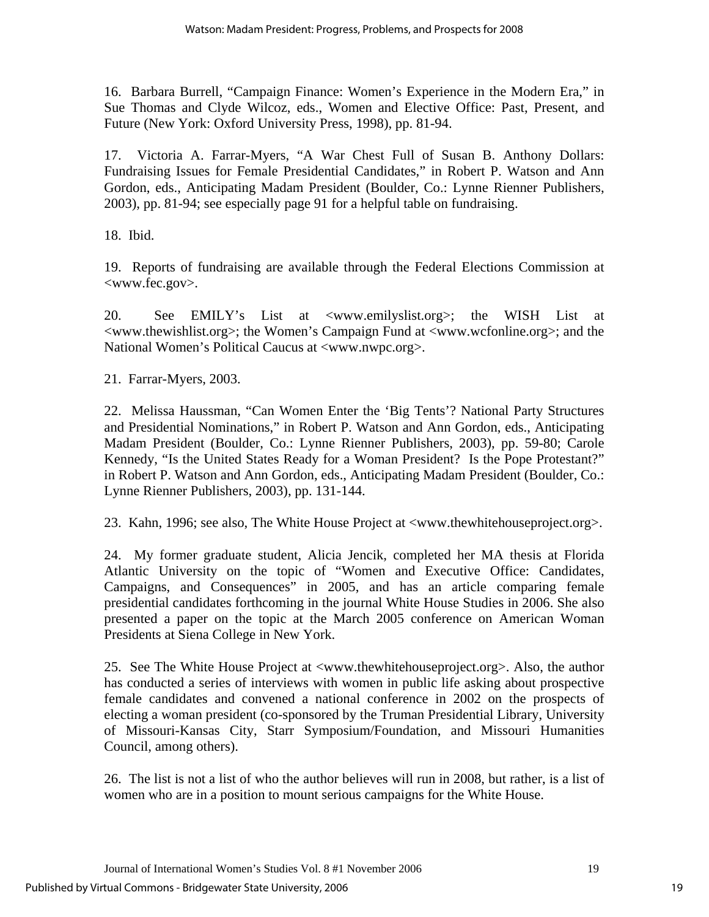16. Barbara Burrell, "Campaign Finance: Women's Experience in the Modern Era," in Sue Thomas and Clyde Wilcoz, eds., Women and Elective Office: Past, Present, and Future (New York: Oxford University Press, 1998), pp. 81-94.

17. Victoria A. Farrar-Myers, "A War Chest Full of Susan B. Anthony Dollars: Fundraising Issues for Female Presidential Candidates," in Robert P. Watson and Ann Gordon, eds., Anticipating Madam President (Boulder, Co.: Lynne Rienner Publishers, 2003), pp. 81-94; see especially page 91 for a helpful table on fundraising.

18. Ibid.

19. Reports of fundraising are available through the Federal Elections Commission at <www.fec.gov>.

20. See EMILY's List at <www.emilyslist.org>; the WISH List at <www.thewishlist.org>; the Women's Campaign Fund at <www.wcfonline.org>; and the National Women's Political Caucus at <www.nwpc.org>.

21. Farrar-Myers, 2003.

22. Melissa Haussman, "Can Women Enter the 'Big Tents'? National Party Structures and Presidential Nominations," in Robert P. Watson and Ann Gordon, eds., Anticipating Madam President (Boulder, Co.: Lynne Rienner Publishers, 2003), pp. 59-80; Carole Kennedy, "Is the United States Ready for a Woman President? Is the Pope Protestant?" in Robert P. Watson and Ann Gordon, eds., Anticipating Madam President (Boulder, Co.: Lynne Rienner Publishers, 2003), pp. 131-144.

23. Kahn, 1996; see also, The White House Project at <www.thewhitehouseproject.org>.

24. My former graduate student, Alicia Jencik, completed her MA thesis at Florida Atlantic University on the topic of "Women and Executive Office: Candidates, Campaigns, and Consequences" in 2005, and has an article comparing female presidential candidates forthcoming in the journal White House Studies in 2006. She also presented a paper on the topic at the March 2005 conference on American Woman Presidents at Siena College in New York.

25. See The White House Project at <www.thewhitehouseproject.org>. Also, the author has conducted a series of interviews with women in public life asking about prospective female candidates and convened a national conference in 2002 on the prospects of electing a woman president (co-sponsored by the Truman Presidential Library, University of Missouri-Kansas City, Starr Symposium/Foundation, and Missouri Humanities Council, among others).

26. The list is not a list of who the author believes will run in 2008, but rather, is a list of women who are in a position to mount serious campaigns for the White House.